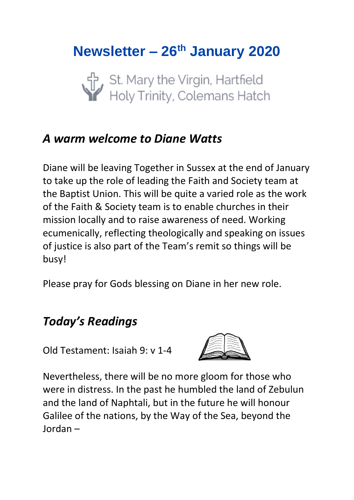# **Newsletter – 26th January 2020**

St. Mary the Virgin, Hartfield<br>Holy Trinity, Colemans Hatch

## *A warm welcome to Diane Watts*

Diane will be leaving Together in Sussex at the end of January to take up the role of leading the Faith and Society team at the Baptist Union. This will be quite a varied role as the work of the Faith & Society team is to enable churches in their mission locally and to raise awareness of need. Working ecumenically, reflecting theologically and speaking on issues of justice is also part of the Team's remit so things will be busy!

Please pray for Gods blessing on Diane in her new role.

## *Today's Readings*

Old Testament: Isaiah 9: v 1-4



Nevertheless, there will be no more gloom for those who were in distress. In the past he humbled the land of Zebulun and the land of Naphtali, but in the future he will honour Galilee of the nations, by the Way of the Sea, beyond the Jordan –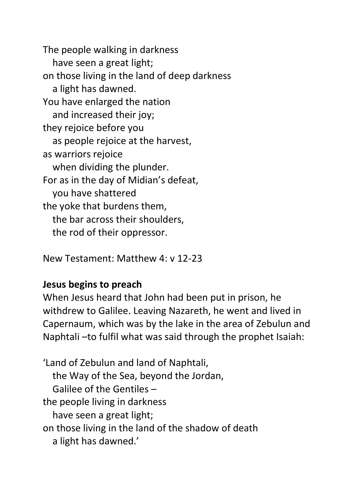The people walking in darkness have seen a great light; on those living in the land of deep darkness a light has dawned. You have enlarged the nation and increased their joy; they rejoice before you as people rejoice at the harvest, as warriors rejoice when dividing the plunder. For as in the day of Midian's defeat, you have shattered the yoke that burdens them, the bar across their shoulders, the rod of their oppressor.

New Testament: Matthew 4: v 12-23

#### **Jesus begins to preach**

When Jesus heard that John had been put in prison, he withdrew to Galilee. Leaving Nazareth, he went and lived in Capernaum, which was by the lake in the area of Zebulun and Naphtali –to fulfil what was said through the prophet Isaiah:

'Land of Zebulun and land of Naphtali, the Way of the Sea, beyond the Jordan, Galilee of the Gentiles – the people living in darkness have seen a great light; on those living in the land of the shadow of death a light has dawned.'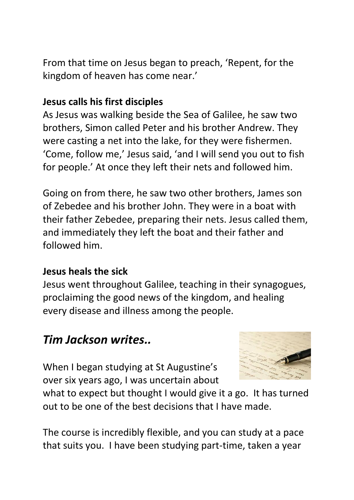From that time on Jesus began to preach, 'Repent, for the kingdom of heaven has come near.'

### **Jesus calls his first disciples**

As Jesus was walking beside the Sea of Galilee, he saw two brothers, Simon called Peter and his brother Andrew. They were casting a net into the lake, for they were fishermen. 'Come, follow me,' Jesus said, 'and I will send you out to fish for people.' At once they left their nets and followed him.

Going on from there, he saw two other brothers, James son of Zebedee and his brother John. They were in a boat with their father Zebedee, preparing their nets. Jesus called them, and immediately they left the boat and their father and followed him.

### **Jesus heals the sick**

Jesus went throughout Galilee, teaching in their synagogues, proclaiming the good news of the kingdom, and healing every disease and illness among the people.

## *Tim Jackson writes..*

When I began studying at St Augustine's over six years ago, I was uncertain about



what to expect but thought I would give it a go. It has turned out to be one of the best decisions that I have made.

The course is incredibly flexible, and you can study at a pace that suits you. I have been studying part-time, taken a year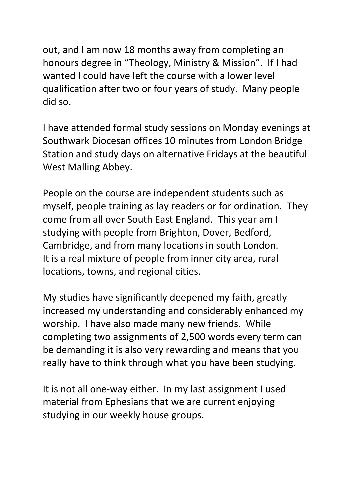out, and I am now 18 months away from completing an honours degree in "Theology, Ministry & Mission". If I had wanted I could have left the course with a lower level qualification after two or four years of study. Many people did so.

I have attended formal study sessions on Monday evenings at Southwark Diocesan offices 10 minutes from London Bridge Station and study days on alternative Fridays at the beautiful West Malling Abbey.

People on the course are independent students such as myself, people training as lay readers or for ordination. They come from all over South East England. This year am I studying with people from Brighton, Dover, Bedford, Cambridge, and from many locations in south London. It is a real mixture of people from inner city area, rural locations, towns, and regional cities.

My studies have significantly deepened my faith, greatly increased my understanding and considerably enhanced my worship. I have also made many new friends. While completing two assignments of 2,500 words every term can be demanding it is also very rewarding and means that you really have to think through what you have been studying.

It is not all one-way either. In my last assignment I used material from Ephesians that we are current enjoying studying in our weekly house groups.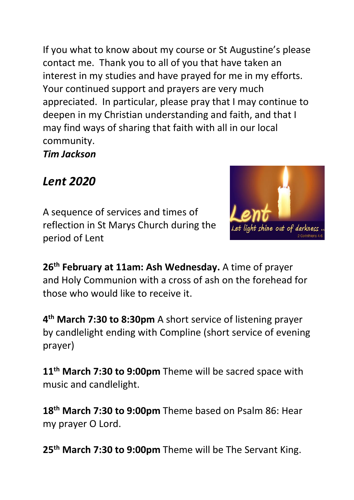If you what to know about my course or St Augustine's please contact me. Thank you to all of you that have taken an interest in my studies and have prayed for me in my efforts. Your continued support and prayers are very much appreciated. In particular, please pray that I may continue to deepen in my Christian understanding and faith, and that I may find ways of sharing that faith with all in our local community.

*Tim Jackson*

## *Lent 2020*

A sequence of services and times of reflection in St Marys Church during the period of Lent



**26th February at 11am: Ash Wednesday.** A time of prayer and Holy Communion with a cross of ash on the forehead for those who would like to receive it.

**4 th March 7:30 to 8:30pm** A short service of listening prayer by candlelight ending with Compline (short service of evening prayer)

**11th March 7:30 to 9:00pm** Theme will be sacred space with music and candlelight.

**18th March 7:30 to 9:00pm** Theme based on Psalm 86: Hear my prayer O Lord.

**25th March 7:30 to 9:00pm** Theme will be The Servant King.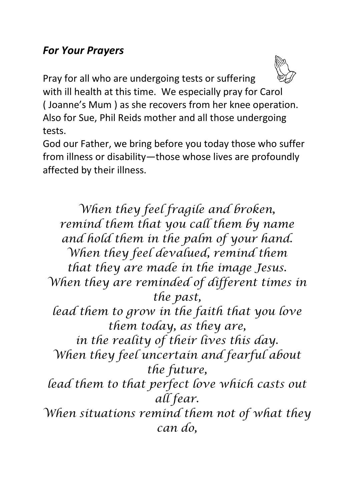### *For Your Prayers*



Pray for all who are undergoing tests or suffering with ill health at this time. We especially pray for Carol ( Joanne's Mum ) as she recovers from her knee operation. Also for Sue, Phil Reids mother and all those undergoing tests.

God our Father, we bring before you today those who suffer from illness or disability—those whose lives are profoundly affected by their illness.

*When they feel fragile and broken, remind them that you call them by name and hold them in the palm of your hand. When they feel devalued, remind them that they are made in the image Jesus. When they are reminded of different times in the past, lead them to grow in the faith that you love them today, as they are, in the reality of their lives this day. When they feel uncertain and fearful about the future, lead them to that perfect love which casts out all fear. When situations remind them not of what they can do,*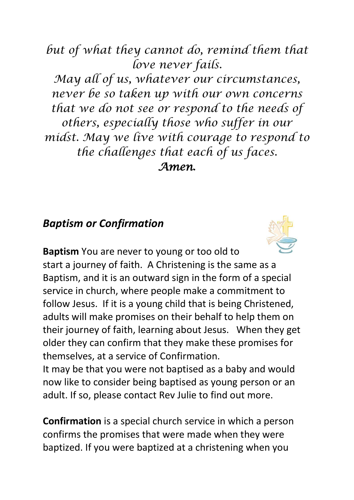*but of what they cannot do, remind them that love never fails.*

*May all of us, whatever our circumstances, never be so taken up with our own concerns that we do not see or respond to the needs of others, especially those who suffer in our midst. May we live with courage to respond to the challenges that each of us faces. Amen***.**

### *Baptism or Confirmation*



**Baptism** You are never to young or too old to start a journey of faith. A Christening is the same as a Baptism, and it is an outward sign in the form of a special service in church, where people make a commitment to follow Jesus. If it is a young child that is being Christened, adults will make promises on their behalf to help them on their journey of faith, learning about Jesus. When they get older they can confirm that they make these promises for themselves, at a service of Confirmation.

It may be that you were not baptised as a baby and would now like to consider being baptised as young person or an adult. If so, please contact Rev Julie to find out more.

**Confirmation** is a special church service in which a person confirms the promises that were made when they were baptized. If you were baptized at a christening when you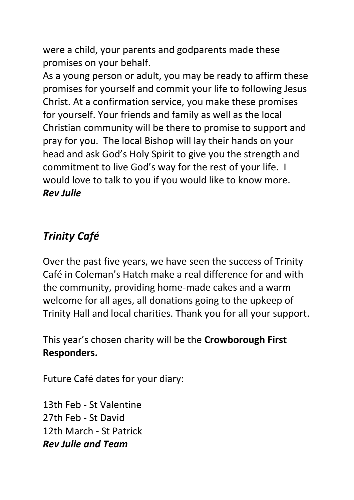were a child, your parents and godparents made these promises on your behalf.

As a young person or adult, you may be ready to affirm these promises for yourself and commit your life to following Jesus Christ. At a confirmation service, you make these promises for yourself. Your friends and family as well as the local Christian community will be there to promise to support and pray for you. The local Bishop will lay their hands on your head and ask God's Holy Spirit to give you the strength and commitment to live God's way for the rest of your life. I would love to talk to you if you would like to know more. *Rev Julie*

## *Trinity Café*

Over the past five years, we have seen the success of Trinity Café in Coleman's Hatch make a real difference for and with the community, providing home-made cakes and a warm welcome for all ages, all donations going to the upkeep of Trinity Hall and local charities. Thank you for all your support.

This year's chosen charity will be the **Crowborough First Responders.**

Future Café dates for your diary:

13th Feb - St Valentine 27th Feb - St David 12th March - St Patrick *Rev Julie and Team*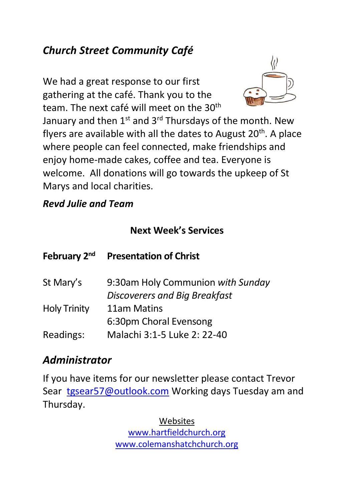## *Church Street Community Café*

We had a great response to our first gathering at the café. Thank you to the team. The next café will meet on the 30<sup>th</sup>



January and then 1<sup>st</sup> and 3<sup>rd</sup> Thursdays of the month. New flyers are available with all the dates to August 20<sup>th</sup>. A place where people can feel connected, make friendships and enjoy home-made cakes, coffee and tea. Everyone is welcome. All donations will go towards the upkeep of St Marys and local charities.

### *Revd Julie and Team*

### **Next Week's Services**

| <b>Presentation of Christ</b>        |
|--------------------------------------|
| 9:30am Holy Communion with Sunday    |
| <b>Discoverers and Big Breakfast</b> |
| 11am Matins                          |
| 6:30pm Choral Evensong               |
| Malachi 3:1-5 Luke 2: 22-40          |
|                                      |

## *Administrator*

If you have items for our newsletter please contact Trevor Sear [tgsear57@outlook.com](mailto:tgsear57@outlook.com) Working days Tuesday am and Thursday.

> Websites [www.hartfieldchurch.org](http://www.hartfieldchurch.org/) [www.colemanshatchchurch.org](http://www.colemanshatchchurch.org/)